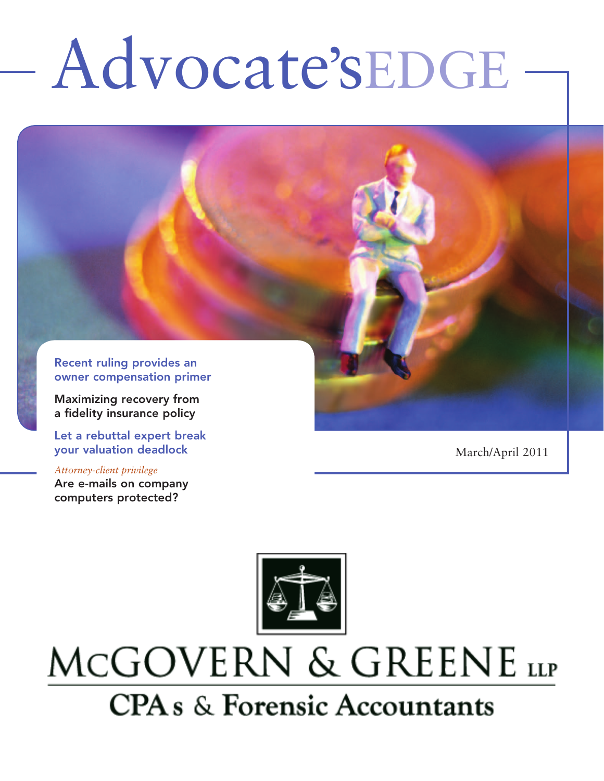# Advocate'sEDGE

Recent ruling provides an owner compensation primer

Maximizing recovery from a fidelity insurance policy

Let a rebuttal expert break your valuation deadlock

*Attorney-client privilege* Are e-mails on company computers protected?

March/April 2011



## MCGOVERN & GREENE LLP **CPA** s & Forensic Accountants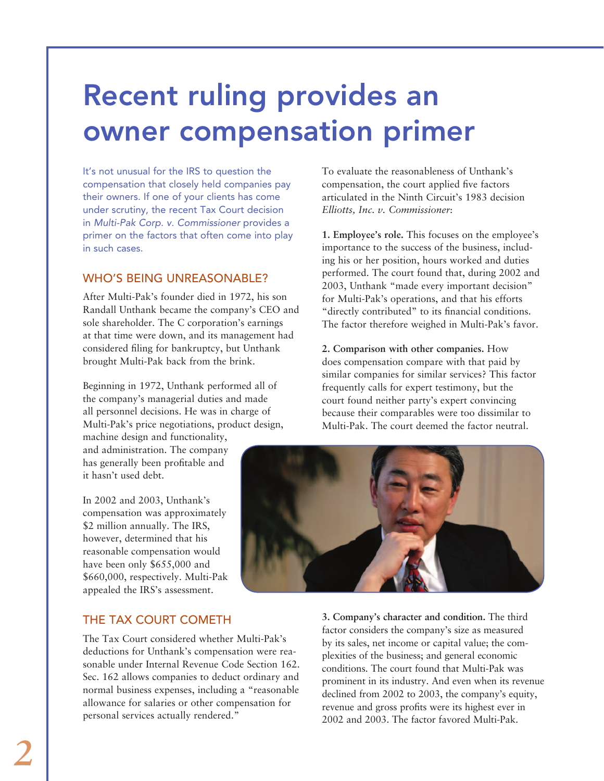### Recent ruling provides an owner compensation primer

It's not unusual for the IRS to question the compensation that closely held companies pay their owners. If one of your clients has come under scrutiny, the recent Tax Court decision in *Multi-Pak Corp. v. Commissioner* provides a primer on the factors that often come into play in such cases.

### WHO'S BEING UNREASONABLE?

After Multi-Pak's founder died in 1972, his son Randall Unthank became the company's CEO and sole shareholder. The C corporation's earnings at that time were down, and its management had considered filing for bankruptcy, but Unthank brought Multi-Pak back from the brink.

Beginning in 1972, Unthank performed all of the company's managerial duties and made all personnel decisions. He was in charge of Multi-Pak's price negotiations, product design,

machine design and functionality, and administration. The company has generally been profitable and it hasn't used debt.

In 2002 and 2003, Unthank's compensation was approximately \$2 million annually. The IRS, however, determined that his reasonable compensation would have been only \$655,000 and \$660,000, respectively. Multi-Pak appealed the IRS's assessment.

### THE TAX COURT COMETH

The Tax Court considered whether Multi-Pak's deductions for Unthank's compensation were reasonable under Internal Revenue Code Section 162. Sec. 162 allows companies to deduct ordinary and normal business expenses, including a "reasonable allowance for salaries or other compensation for personal services actually rendered."

To evaluate the reasonableness of Unthank's compensation, the court applied five factors articulated in the Ninth Circuit's 1983 decision *Elliotts, Inc. v. Commissioner*:

**1. Employee's role.** This focuses on the employee's importance to the success of the business, including his or her position, hours worked and duties performed. The court found that, during 2002 and 2003, Unthank "made every important decision" for Multi-Pak's operations, and that his efforts "directly contributed" to its financial conditions. The factor therefore weighed in Multi-Pak's favor.

**2. Comparison with other companies.** How does compensation compare with that paid by similar companies for similar services? This factor frequently calls for expert testimony, but the court found neither party's expert convincing because their comparables were too dissimilar to Multi-Pak. The court deemed the factor neutral.



**3. Company's character and condition.** The third factor considers the company's size as measured by its sales, net income or capital value; the complexities of the business; and general economic conditions. The court found that Multi-Pak was prominent in its industry. And even when its revenue declined from 2002 to 2003, the company's equity, revenue and gross profits were its highest ever in 2002 and 2003. The factor favored Multi-Pak.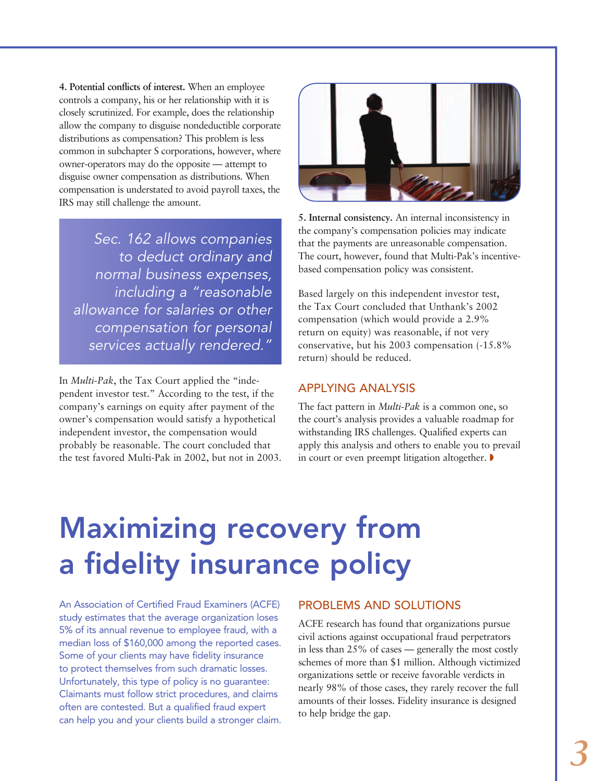**4. Potential conflicts of interest.** When an employee controls a company, his or her relationship with it is closely scrutinized. For example, does the relationship allow the company to disguise nondeductible corporate distributions as compensation? This problem is less common in subchapter S corporations, however, where owner-operators may do the opposite — attempt to disguise owner compensation as distributions. When compensation is understated to avoid payroll taxes, the IRS may still challenge the amount.

*Sec. 162 allows companies to deduct ordinary and normal business expenses, including a "reasonable allowance for salaries or other compensation for personal services actually rendered."*

In *Multi-Pak*, the Tax Court applied the "independent investor test." According to the test, if the company's earnings on equity after payment of the owner's compensation would satisfy a hypothetical independent investor, the compensation would probably be reasonable. The court concluded that the test favored Multi-Pak in 2002, but not in 2003.



**5. Internal consistency.** An internal inconsistency in the company's compensation policies may indicate that the payments are unreasonable compensation. The court, however, found that Multi-Pak's incentivebased compensation policy was consistent.

Based largely on this independent investor test, the Tax Court concluded that Unthank's 2002 compensation (which would provide a 2.9% return on equity) was reasonable, if not very conservative, but his 2003 compensation (-15.8% return) should be reduced.

#### Applying analysis

The fact pattern in *Multi-Pak* is a common one, so the court's analysis provides a valuable roadmap for withstanding IRS challenges. Qualified experts can apply this analysis and others to enable you to prevail in court or even preempt litigation altogether.

### Maximizing recovery from a fidelity insurance policy

An Association of Certified Fraud Examiners (ACFE) study estimates that the average organization loses 5% of its annual revenue to employee fraud, with a median loss of \$160,000 among the reported cases. Some of your clients may have fidelity insurance to protect themselves from such dramatic losses. Unfortunately, this type of policy is no guarantee: Claimants must follow strict procedures, and claims often are contested. But a qualified fraud expert can help you and your clients build a stronger claim.

#### Problems and solutions

ACFE research has found that organizations pursue civil actions against occupational fraud perpetrators in less than 25% of cases — generally the most costly schemes of more than \$1 million. Although victimized organizations settle or receive favorable verdicts in nearly 98% of those cases, they rarely recover the full amounts of their losses. Fidelity insurance is designed to help bridge the gap.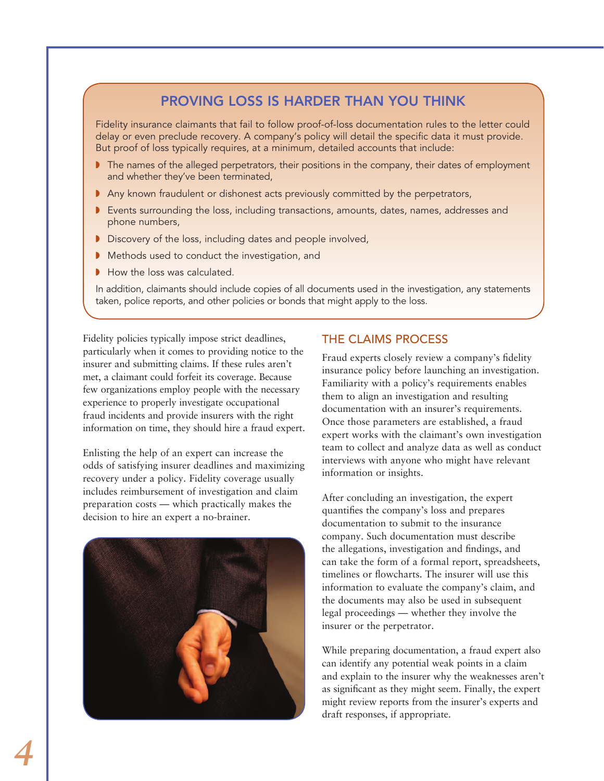### Proving loss is harder than you think

Fidelity insurance claimants that fail to follow proof-of-loss documentation rules to the letter could delay or even preclude recovery. A company's policy will detail the specific data it must provide. But proof of loss typically requires, at a minimum, detailed accounts that include:

- $\blacktriangleright$  The names of the alleged perpetrators, their positions in the company, their dates of employment and whether they've been terminated,
- Any known fraudulent or dishonest acts previously committed by the perpetrators,
- **Exents surrounding the loss, including transactions, amounts, dates, names, addresses and** phone numbers,
- Discovery of the loss, including dates and people involved,
- Methods used to conduct the investigation, and
- $\blacksquare$  How the loss was calculated.

In addition, claimants should include copies of all documents used in the investigation, any statements taken, police reports, and other policies or bonds that might apply to the loss.

Fidelity policies typically impose strict deadlines, particularly when it comes to providing notice to the insurer and submitting claims. If these rules aren't met, a claimant could forfeit its coverage. Because few organizations employ people with the necessary experience to properly investigate occupational fraud incidents and provide insurers with the right information on time, they should hire a fraud expert.

Enlisting the help of an expert can increase the odds of satisfying insurer deadlines and maximizing recovery under a policy. Fidelity coverage usually includes reimbursement of investigation and claim preparation costs — which practically makes the decision to hire an expert a no-brainer.



### The claims process

Fraud experts closely review a company's fidelity insurance policy before launching an investigation. Familiarity with a policy's requirements enables them to align an investigation and resulting documentation with an insurer's requirements. Once those parameters are established, a fraud expert works with the claimant's own investigation team to collect and analyze data as well as conduct interviews with anyone who might have relevant information or insights.

After concluding an investigation, the expert quantifies the company's loss and prepares documentation to submit to the insurance company. Such documentation must describe the allegations, investigation and findings, and can take the form of a formal report, spreadsheets, timelines or flowcharts. The insurer will use this information to evaluate the company's claim, and the documents may also be used in subsequent legal proceedings — whether they involve the insurer or the perpetrator.

While preparing documentation, a fraud expert also can identify any potential weak points in a claim and explain to the insurer why the weaknesses aren't as significant as they might seem. Finally, the expert might review reports from the insurer's experts and draft responses, if appropriate.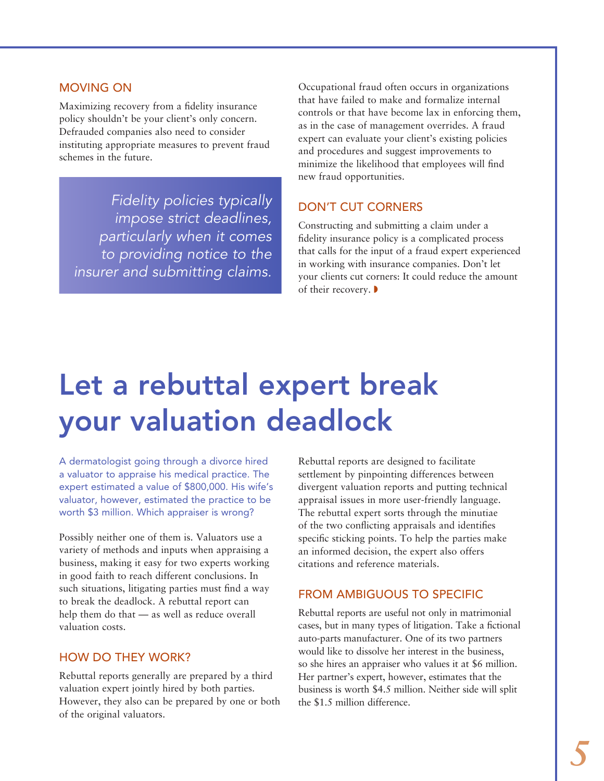#### Moving on

Maximizing recovery from a fidelity insurance policy shouldn't be your client's only concern. Defrauded companies also need to consider instituting appropriate measures to prevent fraud schemes in the future.

*Fidelity policies typically impose strict deadlines, particularly when it comes to providing notice to the insurer and submitting claims.*

Occupational fraud often occurs in organizations that have failed to make and formalize internal controls or that have become lax in enforcing them, as in the case of management overrides. A fraud expert can evaluate your client's existing policies and procedures and suggest improvements to minimize the likelihood that employees will find new fraud opportunities.

### Don't cut corners

Constructing and submitting a claim under a fidelity insurance policy is a complicated process that calls for the input of a fraud expert experienced in working with insurance companies. Don't let your clients cut corners: It could reduce the amount of their recovery.

### Let a rebuttal expert break your valuation deadlock

A dermatologist going through a divorce hired a valuator to appraise his medical practice. The expert estimated a value of \$800,000. His wife's valuator, however, estimated the practice to be worth \$3 million. Which appraiser is wrong?

Possibly neither one of them is. Valuators use a variety of methods and inputs when appraising a business, making it easy for two experts working in good faith to reach different conclusions. In such situations, litigating parties must find a way to break the deadlock. A rebuttal report can help them do that — as well as reduce overall valuation costs.

### How do they work?

Rebuttal reports generally are prepared by a third valuation expert jointly hired by both parties. However, they also can be prepared by one or both of the original valuators.

Rebuttal reports are designed to facilitate settlement by pinpointing differences between divergent valuation reports and putting technical appraisal issues in more user-friendly language. The rebuttal expert sorts through the minutiae of the two conflicting appraisals and identifies specific sticking points. To help the parties make an informed decision, the expert also offers citations and reference materials.

### From ambiguous to specific

Rebuttal reports are useful not only in matrimonial cases, but in many types of litigation. Take a fictional auto-parts manufacturer. One of its two partners would like to dissolve her interest in the business, so she hires an appraiser who values it at \$6 million. Her partner's expert, however, estimates that the business is worth \$4.5 million. Neither side will split the \$1.5 million difference.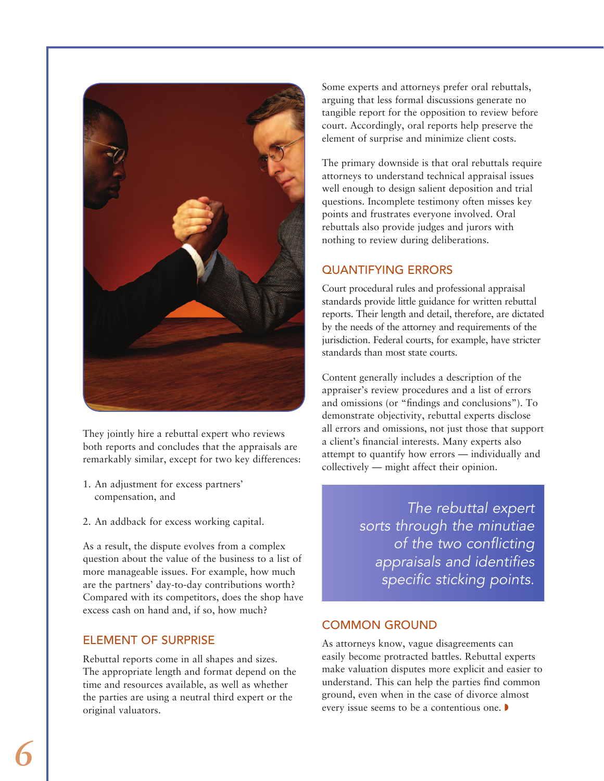

They jointly hire a rebuttal expert who reviews both reports and concludes that the appraisals are remarkably similar, except for two key differences:

- 1. An adjustment for excess partners' compensation, and
- 2. An addback for excess working capital.

As a result, the dispute evolves from a complex question about the value of the business to a list of more manageable issues. For example, how much are the partners' day-to-day contributions worth? Compared with its competitors, does the shop have excess cash on hand and, if so, how much?

### Element of surprise

Rebuttal reports come in all shapes and sizes. The appropriate length and format depend on the time and resources available, as well as whether the parties are using a neutral third expert or the original valuators.

Some experts and attorneys prefer oral rebuttals, arguing that less formal discussions generate no tangible report for the opposition to review before court. Accordingly, oral reports help preserve the element of surprise and minimize client costs.

The primary downside is that oral rebuttals require attorneys to understand technical appraisal issues well enough to design salient deposition and trial questions. Incomplete testimony often misses key points and frustrates everyone involved. Oral rebuttals also provide judges and jurors with nothing to review during deliberations.

### Quantifying errors

Court procedural rules and professional appraisal standards provide little guidance for written rebuttal reports. Their length and detail, therefore, are dictated by the needs of the attorney and requirements of the jurisdiction. Federal courts, for example, have stricter standards than most state courts.

Content generally includes a description of the appraiser's review procedures and a list of errors and omissions (or "findings and conclusions"). To demonstrate objectivity, rebuttal experts disclose all errors and omissions, not just those that support a client's financial interests. Many experts also attempt to quantify how errors — individually and collectively — might affect their opinion.

> *The rebuttal expert sorts through the minutiae of the two conflicting appraisals and identifies specific sticking points.*

### Common ground

As attorneys know, vague disagreements can easily become protracted battles. Rebuttal experts make valuation disputes more explicit and easier to understand. This can help the parties find common ground, even when in the case of divorce almost every issue seems to be a contentious one.